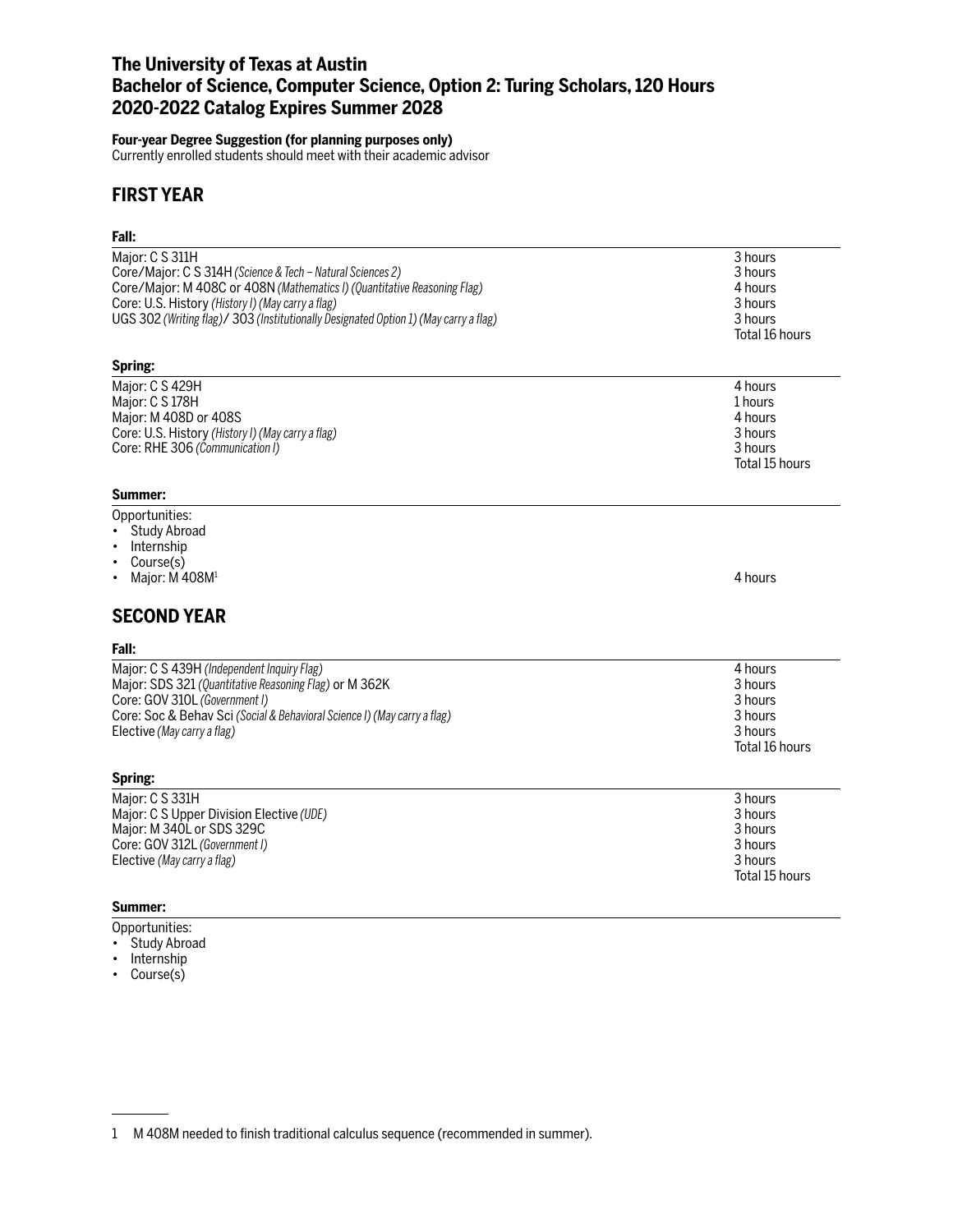# **The University of Texas at Austin Bachelor of Science, Computer Science, Option 2: Turing Scholars, 120 Hours 2020-2022 Catalog Expires Summer 2028**

#### **Four-year Degree Suggestion (for planning purposes only)**

Currently enrolled students should meet with their academic advisor

# **FIRST YEAR**

| Fall:                                                                                                                                                    |                                                                       |
|----------------------------------------------------------------------------------------------------------------------------------------------------------|-----------------------------------------------------------------------|
| Major: C S 311H                                                                                                                                          | 3 hours                                                               |
| Core/Major: C S 314H (Science & Tech - Natural Sciences 2)                                                                                               | 3 hours                                                               |
| Core/Major: M 408C or 408N (Mathematics I) (Quantitative Reasoning Flag)                                                                                 | 4 hours                                                               |
| Core: U.S. History (History I) (May carry a flag)                                                                                                        | 3 hours                                                               |
| UGS 302 (Writing flag)/ 303 (Institutionally Designated Option 1) (May carry a flag)                                                                     | 3 hours                                                               |
| Spring:                                                                                                                                                  | Total 16 hours                                                        |
| Major: C S 429H                                                                                                                                          | 4 hours                                                               |
| Major: C S 178H                                                                                                                                          | 1 hours                                                               |
| Major: M 408D or 408S                                                                                                                                    | 4 hours                                                               |
| Core: U.S. History (History I) (May carry a flag)                                                                                                        | 3 hours                                                               |
| Core: RHE 306 (Communication I)                                                                                                                          | 3 hours                                                               |
| Summer:                                                                                                                                                  | Total 15 hours                                                        |
| Opportunities:<br><b>Study Abroad</b><br>Internship<br>$\bullet$<br>Course(s)<br>$\bullet$<br>Major: M 408M <sup>1</sup><br><b>SECOND YEAR</b><br>Fall:  | 4 hours                                                               |
| Major: C S 439H (Independent Inquiry Flag)                                                                                                               | 4 hours                                                               |
| Major: SDS 321 (Quantitative Reasoning Flag) or M 362K                                                                                                   | 3 hours                                                               |
| Core: GOV 310L (Government I)                                                                                                                            | 3 hours                                                               |
| Core: Soc & Behav Sci (Social & Behavioral Science I) (May carry a flag)                                                                                 | 3 hours                                                               |
| Elective (May carry a flag)                                                                                                                              | 3 hours                                                               |
| Spring:                                                                                                                                                  | Total 16 hours                                                        |
| Major: C S 331H<br>Major: C S Upper Division Elective (UDE)<br>Major: M 340L or SDS 329C<br>Core: GOV 312L (Government I)<br>Elective (May carry a flag) | 3 hours<br>3 hours<br>3 hours<br>3 hours<br>3 hours<br>Total 15 hours |

### **Summer:**

- Opportunities: • Study Abroad
- Internship
- Course(s)

<sup>1</sup> M 408M needed to finish traditional calculus sequence (recommended in summer).